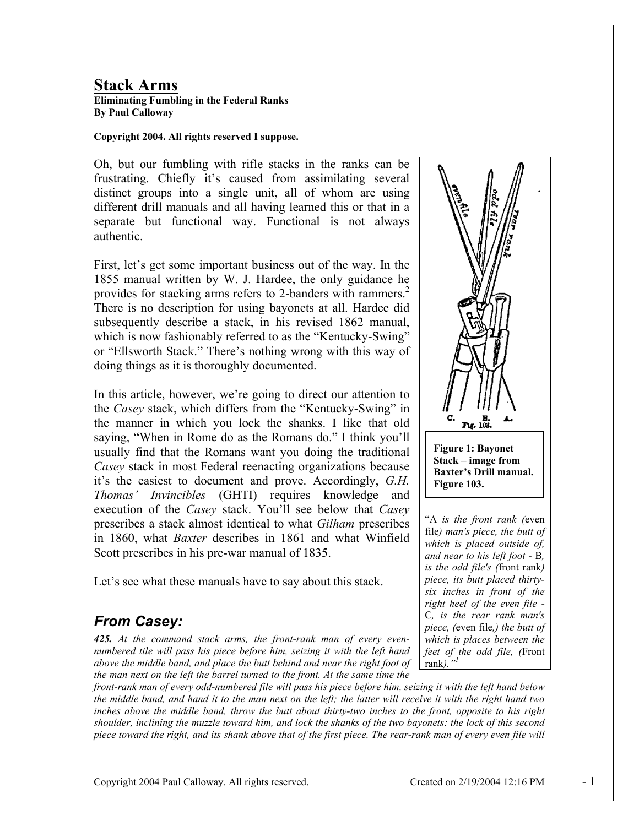## **Stack Arms**

**Eliminating Fumbling in the Federal Ranks By Paul Calloway** 

#### **Copyright 2004. All rights reserved I suppose.**

Oh, but our fumbling with rifle stacks in the ranks can be frustrating. Chiefly it's caused from assimilating several distinct groups into a single unit, all of whom are using different drill manuals and all having learned this or that in a separate but functional way. Functional is not always authentic.

First, let's get some important business out of the way. In the 1855 manual written by W. J. Hardee, the only guidance he provides for stacking arms refers to 2-banders with rammers.<sup>2</sup> There is no description for using bayonets at all. Hardee did subsequently describe a stack, in his revised 1862 manual, which is now fashionably referred to as the "Kentucky-Swing" or "Ellsworth Stack." There's nothing wrong with this way of doing things as it is thoroughly documented.

In this article, however, we're going to direct our attention to the *Casey* stack, which differs from the "Kentucky-Swing" in the manner in which you lock the shanks. I like that old saying, "When in Rome do as the Romans do." I think you'll usually find that the Romans want you doing the traditional *Casey* stack in most Federal reenacting organizations because it's the easiest to document and prove. Accordingly, *G.H. Thomas' Invincibles* (GHTI) requires knowledge and execution of the *Casey* stack. You'll see below that *Casey* prescribes a stack almost identical to what *Gilham* prescribes in 1860, what *Baxter* describes in 1861 and what Winfield Scott prescribes in his pre-war manual of 1835.

Let's see what these manuals have to say about this stack.

# *From Casey:*

*425. At the command stack arms, the front-rank man of every evennumbered tile will pass his piece before him, seizing it with the left hand above the middle band, and place the butt behind and near the right foot of the man next on the left the barrel turned to the front. At the same time the* 

*front-rank man of every odd-numbered file will pass his piece before him, seizing it with the left hand below the middle band, and hand it to the man next on the left; the latter will receive it with the right hand two inches above the middle band, throw the butt about thirty-two inches to the front, opposite to his right shoulder, inclining the muzzle toward him, and lock the shanks of the two bayonets: the lock of this second piece toward the right, and its shank above that of the first piece. The rear-rank man of every even file will* 



*and near to his left foot -* B*, is the odd file's (*front rank*) piece, its butt placed thirtysix inches in front of the right heel of the even file -*  C*, is the rear rank man's piece, (*even file*,) the butt of which is places between the feet of the odd file, (*Front rank*)."<sup>1</sup>*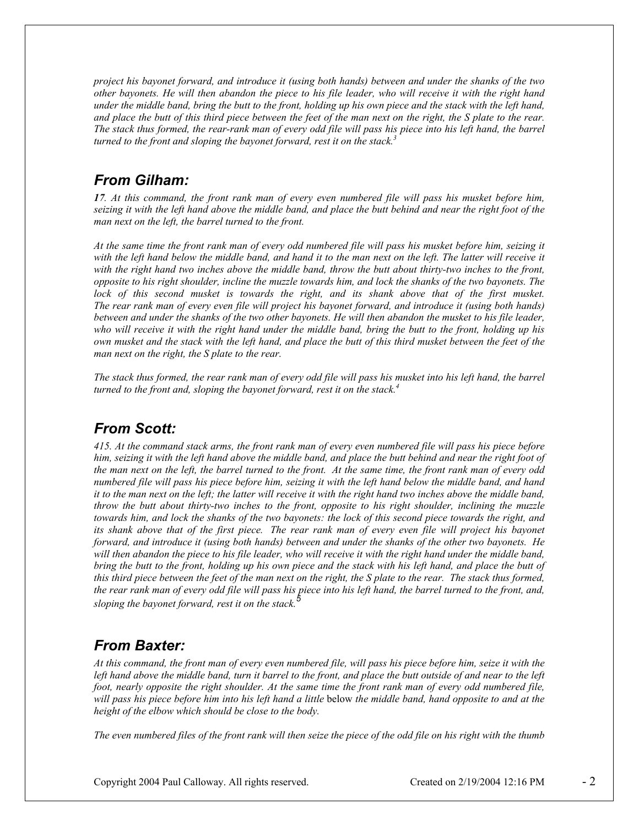*project his bayonet forward, and introduce it (using both hands) between and under the shanks of the two other bayonets. He will then abandon the piece to his file leader, who will receive it with the right hand under the middle band, bring the butt to the front, holding up his own piece and the stack with the left hand, and place the butt of this third piece between the feet of the man next on the right, the S plate to the rear. The stack thus formed, the rear-rank man of every odd file will pass his piece into his left hand, the barrel turned to the front and sloping the bayonet forward, rest it on the stack.3*

### *From Gilham:*

*17. At this command, the front rank man of every even numbered file will pass his musket before him, seizing it with the left hand above the middle band, and place the butt behind and near the right foot of the man next on the left, the barrel turned to the front.* 

*At the same time the front rank man of every odd numbered file will pass his musket before him, seizing it with the left hand below the middle band, and hand it to the man next on the left. The latter will receive it*  with the right hand two inches above the middle band, throw the butt about thirty-two inches to the front, *opposite to his right shoulder, incline the muzzle towards him, and lock the shanks of the two bayonets. The*  lock of this second musket is towards the right, and its shank above that of the first musket. *The rear rank man of every even file will project his bayonet forward, and introduce it (using both hands) between and under the shanks of the two other bayonets. He will then abandon the musket to his file leader, who will receive it with the right hand under the middle band, bring the butt to the front, holding up his own musket and the stack with the left hand, and place the butt of this third musket between the feet of the man next on the right, the S plate to the rear.* 

*The stack thus formed, the rear rank man of every odd file will pass his musket into his left hand, the barrel turned to the front and, sloping the bayonet forward, rest it on the stack.4*

### *From Scott:*

*415. At the command stack arms, the front rank man of every even numbered file will pass his piece before him, seizing it with the left hand above the middle band, and place the butt behind and near the right foot of the man next on the left, the barrel turned to the front. At the same time, the front rank man of every odd numbered file will pass his piece before him, seizing it with the left hand below the middle band, and hand*  it to the man next on the left; the latter will receive it with the right hand two inches above the middle band, *throw the butt about thirty-two inches to the front, opposite to his right shoulder, inclining the muzzle towards him, and lock the shanks of the two bayonets: the lock of this second piece towards the right, and its shank above that of the first piece. The rear rank man of every even file will project his bayonet forward, and introduce it (using both hands) between and under the shanks of the other two bayonets. He*  will then abandon the piece to his file leader, who will receive it with the right hand under the middle band, *bring the butt to the front, holding up his own piece and the stack with his left hand, and place the butt of this third piece between the feet of the man next on the right, the S plate to the rear. The stack thus formed,* the rear rank man of every odd file will pass his piece into his left hand, the barrel turned to the front, and, *sloping the bayonet forward, rest it on the stack.<sup>5</sup>*

### *From Baxter:*

*At this command, the front man of every even numbered file, will pass his piece before him, seize it with the*  left hand above the middle band, turn it barrel to the front, and place the butt outside of and near to the left *foot, nearly opposite the right shoulder. At the same time the front rank man of every odd numbered file, will pass his piece before him into his left hand a little* below *the middle band, hand opposite to and at the height of the elbow which should be close to the body.* 

*The even numbered files of the front rank will then seize the piece of the odd file on his right with the thumb*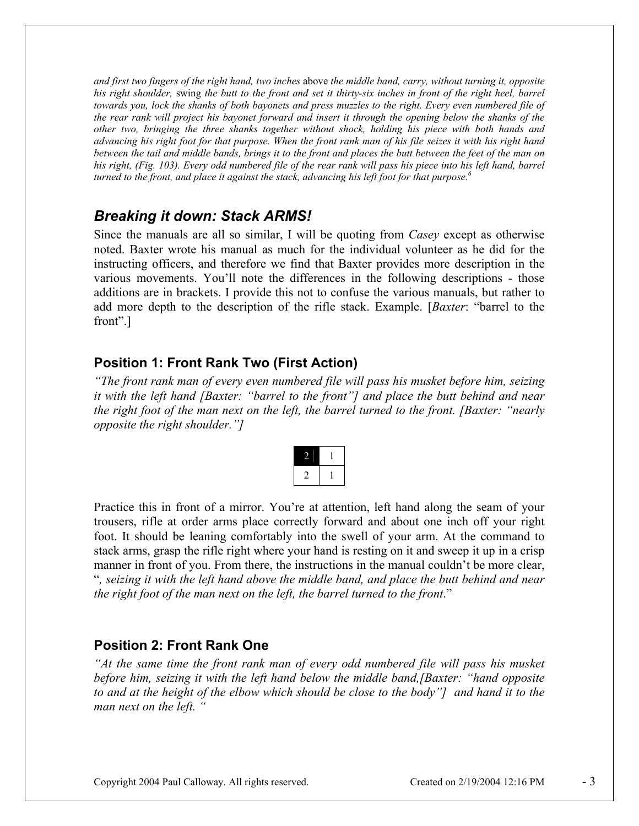*and first two fingers of the right hand, two inches* above *the middle band, carry, without turning it, opposite his right shoulder,* swing *the butt to the front and set it thirty-six inches in front of the right heel, barrel towards you, lock the shanks of both bayonets and press muzzles to the right. Every even numbered file of the rear rank will project his bayonet forward and insert it through the opening below the shanks of the other two, bringing the three shanks together without shock, holding his piece with both hands and advancing his right foot for that purpose. When the front rank man of his file seizes it with his right hand between the tail and middle bands, brings it to the front and places the butt between the feet of the man on*  his right, (Fig. 103). Every odd numbered file of the rear rank will pass his piece into his left hand, barrel *turned to the front, and place it against the stack, advancing his left foot for that purpose.6*

# *Breaking it down: Stack ARMS!*

Since the manuals are all so similar, I will be quoting from *Casey* except as otherwise noted. Baxter wrote his manual as much for the individual volunteer as he did for the instructing officers, and therefore we find that Baxter provides more description in the various movements. You'll note the differences in the following descriptions - those additions are in brackets. I provide this not to confuse the various manuals, but rather to add more depth to the description of the rifle stack. Example. [*Baxter*: "barrel to the front".]

## **Position 1: Front Rank Two (First Action)**

*"The front rank man of every even numbered file will pass his musket before him, seizing it with the left hand [Baxter: "barrel to the front"] and place the butt behind and near the right foot of the man next on the left, the barrel turned to the front. [Baxter: "nearly opposite the right shoulder."]* 

Practice this in front of a mirror. You're at attention, left hand along the seam of your trousers, rifle at order arms place correctly forward and about one inch off your right foot. It should be leaning comfortably into the swell of your arm. At the command to stack arms, grasp the rifle right where your hand is resting on it and sweep it up in a crisp manner in front of you. From there, the instructions in the manual couldn't be more clear, "*, seizing it with the left hand above the middle band, and place the butt behind and near the right foot of the man next on the left, the barrel turned to the front*."

### **Position 2: Front Rank One**

*At the same time the front rank man of every odd numbered file will pass his musket before him, seizing it with the left hand below the middle band,[Baxter: "hand opposite to and at the height of the elbow which should be close to the body"] and hand it to the man next on the left. "*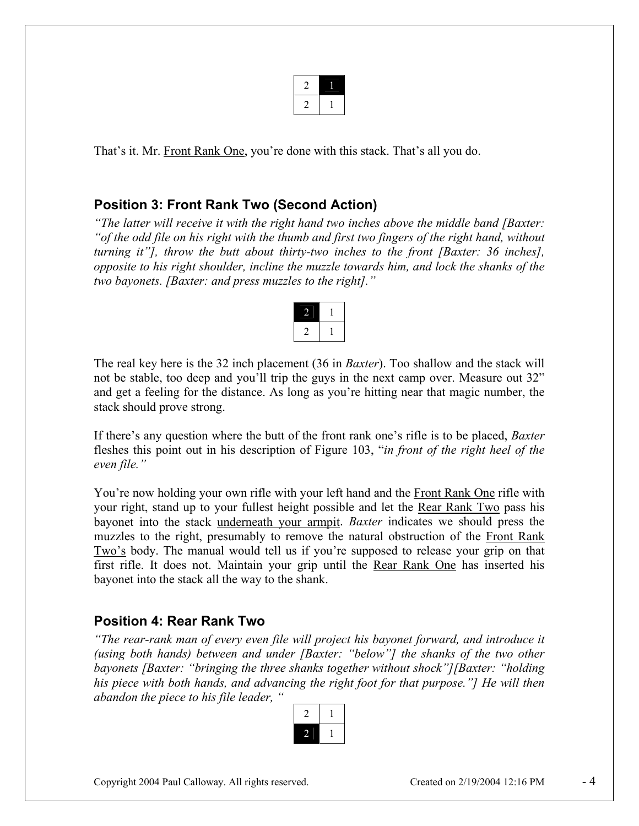That's it. Mr. Front Rank One, you're done with this stack. That's all you do.

### **Position 3: Front Rank Two (Second Action)**

*"The latter will receive it with the right hand two inches above the middle band [Baxter: "of the odd file on his right with the thumb and first two fingers of the right hand, without turning it"], throw the butt about thirty-two inches to the front [Baxter: 36 inches], opposite to his right shoulder, incline the muzzle towards him, and lock the shanks of the two bayonets. [Baxter: and press muzzles to the right]."* 

The real key here is the 32 inch placement (36 in *Baxter*). Too shallow and the stack will not be stable, too deep and you'll trip the guys in the next camp over. Measure out 32" and get a feeling for the distance. As long as you're hitting near that magic number, the stack should prove strong.

If there's any question where the butt of the front rank one's rifle is to be placed, *Baxter* fleshes this point out in his description of Figure 103, "*in front of the right heel of the even file."*

You're now holding your own rifle with your left hand and the Front Rank One rifle with your right, stand up to your fullest height possible and let the Rear Rank Two pass his bayonet into the stack underneath your armpit. *Baxter* indicates we should press the muzzles to the right, presumably to remove the natural obstruction of the Front Rank Two's body. The manual would tell us if you're supposed to release your grip on that first rifle. It does not. Maintain your grip until the Rear Rank One has inserted his bayonet into the stack all the way to the shank.

### **Position 4: Rear Rank Two**

*"The rear-rank man of every even file will project his bayonet forward, and introduce it (using both hands) between and under [Baxter: "below"] the shanks of the two other bayonets [Baxter: "bringing the three shanks together without shock"][Baxter: "holding*  his piece with both hands, and advancing the right foot for that purpose."] He will then *abandon the piece to his file leader, "* 

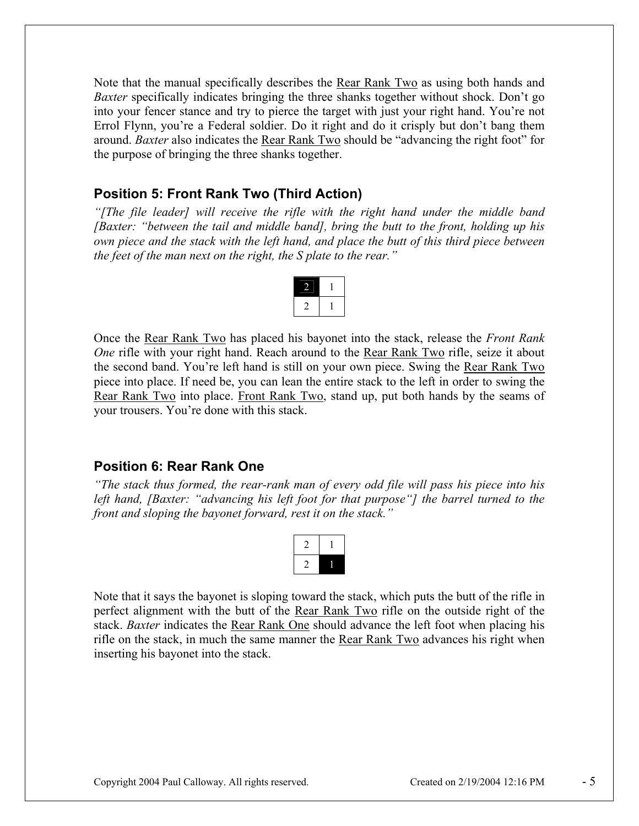Note that the manual specifically describes the Rear Rank Two as using both hands and *Baxter* specifically indicates bringing the three shanks together without shock. Don't go into your fencer stance and try to pierce the target with just your right hand. You're not Errol Flynn, you're a Federal soldier. Do it right and do it crisply but don't bang them around. *Baxter* also indicates the Rear Rank Two should be "advancing the right foot" for the purpose of bringing the three shanks together.

### **Position 5: Front Rank Two (Third Action)**

*"[The file leader] will receive the rifle with the right hand under the middle band [Baxter: "between the tail and middle band], bring the butt to the front, holding up his own piece and the stack with the left hand, and place the butt of this third piece between the feet of the man next on the right, the S plate to the rear."* 

Once the Rear Rank Two has placed his bayonet into the stack, release the *Front Rank One* rifle with your right hand. Reach around to the Rear Rank Two rifle, seize it about the second band. You're left hand is still on your own piece. Swing the Rear Rank Two piece into place. If need be, you can lean the entire stack to the left in order to swing the Rear Rank Two into place. Front Rank Two, stand up, put both hands by the seams of your trousers. You're done with this stack.

#### **Position 6: Rear Rank One**

*"The stack thus formed, the rear-rank man of every odd file will pass his piece into his left hand, [Baxter: "advancing his left foot for that purpose"] the barrel turned to the front and sloping the bayonet forward, rest it on the stack."* 



Note that it says the bayonet is sloping toward the stack, which puts the butt of the rifle in perfect alignment with the butt of the Rear Rank Two rifle on the outside right of the stack. *Baxter* indicates the Rear Rank One should advance the left foot when placing his rifle on the stack, in much the same manner the Rear Rank Two advances his right when inserting his bayonet into the stack.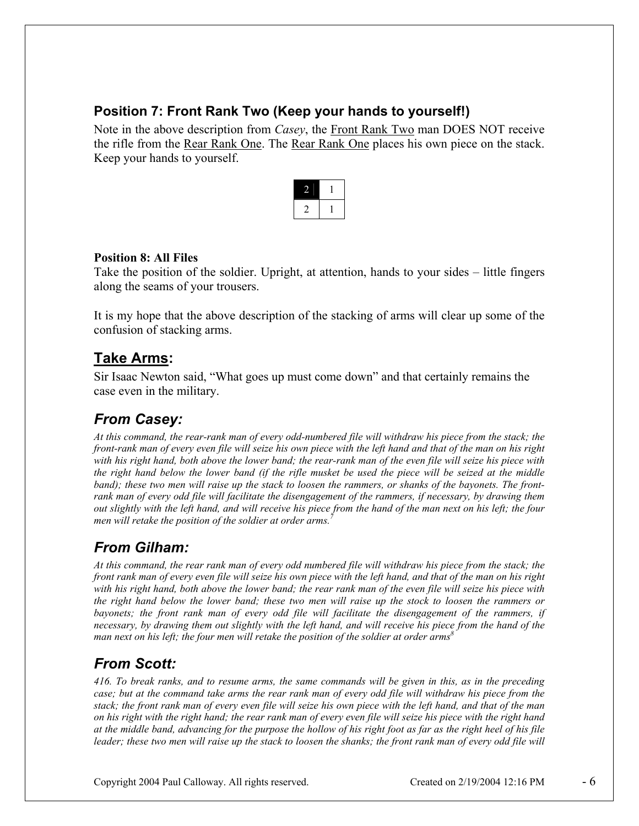## **Position 7: Front Rank Two (Keep your hands to yourself!)**

Note in the above description from *Casey*, the Front Rank Two man DOES NOT receive the rifle from the Rear Rank One. The Rear Rank One places his own piece on the stack. Keep your hands to yourself.



### **Position 8: All Files**

Take the position of the soldier. Upright, at attention, hands to your sides – little fingers along the seams of your trousers.

It is my hope that the above description of the stacking of arms will clear up some of the confusion of stacking arms.

# **Take Arms:**

Sir Isaac Newton said, "What goes up must come down" and that certainly remains the case even in the military.

# *From Casey:*

*At this command, the rear-rank man of every odd-numbered file will withdraw his piece from the stack; the front-rank man of every even file will seize his own piece with the left hand and that of the man on his right with his right hand, both above the lower band; the rear-rank man of the even file will seize his piece with the right hand below the lower band (if the rifle musket be used the piece will be seized at the middle band); these two men will raise up the stack to loosen the rammers, or shanks of the bayonets. The frontrank man of every odd file will facilitate the disengagement of the rammers, if necessary, by drawing them out slightly with the left hand, and will receive his piece from the hand of the man next on his left; the four men will retake the position of the soldier at order arms.7*

# *From Gilham:*

*At this command, the rear rank man of every odd numbered file will withdraw his piece from the stack; the front rank man of every even file will seize his own piece with the left hand, and that of the man on his right with his right hand, both above the lower band; the rear rank man of the even file will seize his piece with the right hand below the lower band; these two men will raise up the stock to loosen the rammers or bayonets; the front rank man of every odd file will facilitate the disengagement of the rammers, if necessary, by drawing them out slightly with the left hand, and will receive his piece from the hand of the man next on his left; the four men will retake the position of the soldier at order arms8*

# *From Scott:*

*416. To break ranks, and to resume arms, the same commands will be given in this, as in the preceding*  case; but at the command take arms the rear rank man of every odd file will withdraw his piece from the *stack; the front rank man of every even file will seize his own piece with the left hand, and that of the man on his right with the right hand; the rear rank man of every even file will seize his piece with the right hand at the middle band, advancing for the purpose the hollow of his right foot as far as the right heel of his file leader; these two men will raise up the stack to loosen the shanks; the front rank man of every odd file will*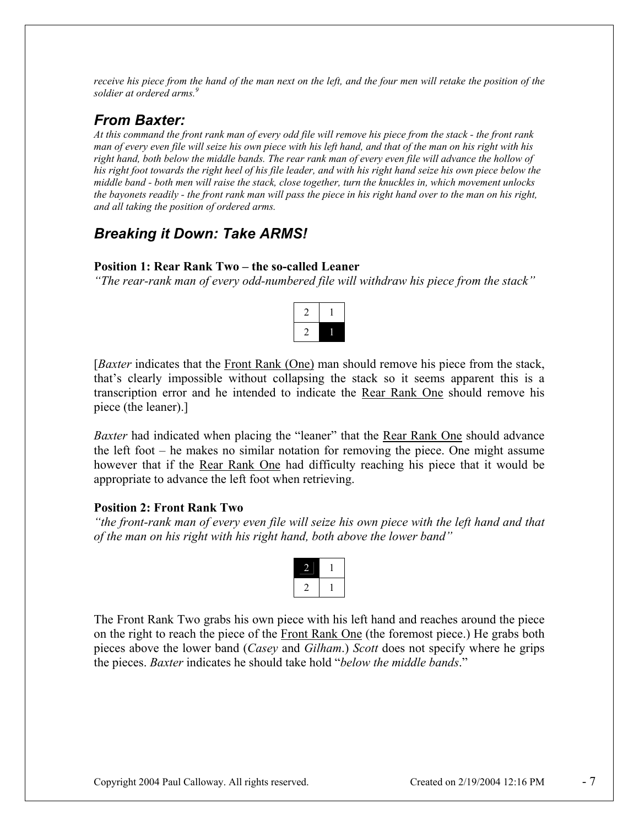*receive his piece from the hand of the man next on the left, and the four men will retake the position of the soldier at ordered arms.9*

# *From Baxter:*

*At this command the front rank man of every odd file will remove his piece from the stack - the front rank man of every even file will seize his own piece with his left hand, and that of the man on his right with his right hand, both below the middle bands. The rear rank man of every even file will advance the hollow of his right foot towards the right heel of his file leader, and with his right hand seize his own piece below the middle band - both men will raise the stack, close together, turn the knuckles in, which movement unlocks the bayonets readily - the front rank man will pass the piece in his right hand over to the man on his right, and all taking the position of ordered arms.*

# *Breaking it Down: Take ARMS!*

### **Position 1: Rear Rank Two – the so-called Leaner**

*"The rear-rank man of every odd-numbered file will withdraw his piece from the stack"*



[*Baxter* indicates that the Front Rank (One) man should remove his piece from the stack, that's clearly impossible without collapsing the stack so it seems apparent this is a transcription error and he intended to indicate the Rear Rank One should remove his piece (the leaner).]

*Baxter* had indicated when placing the "leaner" that the Rear Rank One should advance the left foot – he makes no similar notation for removing the piece. One might assume however that if the Rear Rank One had difficulty reaching his piece that it would be appropriate to advance the left foot when retrieving.

### **Position 2: Front Rank Two**

*"the front-rank man of every even file will seize his own piece with the left hand and that of the man on his right with his right hand, both above the lower band"* 

The Front Rank Two grabs his own piece with his left hand and reaches around the piece on the right to reach the piece of the Front Rank One (the foremost piece.) He grabs both pieces above the lower band (*Casey* and *Gilham*.) *Scott* does not specify where he grips the pieces. *Baxter* indicates he should take hold "*below the middle bands*."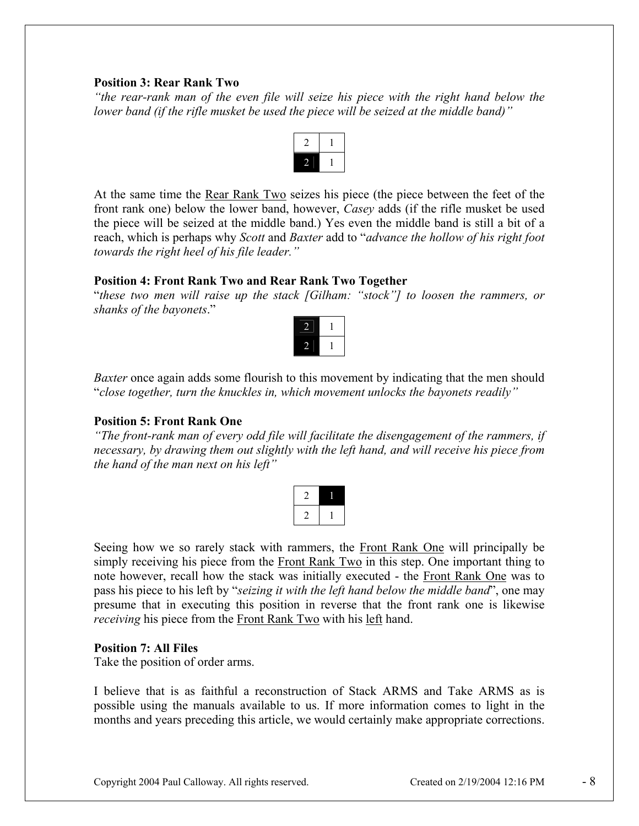#### **Position 3: Rear Rank Two**

*"the rear-rank man of the even file will seize his piece with the right hand below the lower band (if the rifle musket be used the piece will be seized at the middle band)"* 



At the same time the <u>Rear Rank Two</u> seizes his piece (the piece between the feet of the front rank one) below the lower band, however, *Casey* adds (if the rifle musket be used the piece will be seized at the middle band.) Yes even the middle band is still a bit of a reach, which is perhaps why *Scott* and *Baxter* add to "*advance the hollow of his right foot towards the right heel of his file leader."*

#### **Position 4: Front Rank Two and Rear Rank Two Together**

"*these two men will raise up the stack [Gilham: "stock"] to loosen the rammers, or shanks of the bayonets*."



*Baxter* once again adds some flourish to this movement by indicating that the men should "*close together, turn the knuckles in, which movement unlocks the bayonets readily"*

#### **Position 5: Front Rank One**

*"The front-rank man of every odd file will facilitate the disengagement of the rammers, if necessary, by drawing them out slightly with the left hand, and will receive his piece from the hand of the man next on his left"* 



Seeing how we so rarely stack with rammers, the Front Rank One will principally be simply receiving his piece from the Front Rank Two in this step. One important thing to note however, recall how the stack was initially executed - the Front Rank One was to pass his piece to his left by "*seizing it with the left hand below the middle band*", one may presume that in executing this position in reverse that the front rank one is likewise *receiving* his piece from the Front Rank Two with his left hand.

#### **Position 7: All Files**

Take the position of order arms.

I believe that is as faithful a reconstruction of Stack ARMS and Take ARMS as is possible using the manuals available to us. If more information comes to light in the months and years preceding this article, we would certainly make appropriate corrections.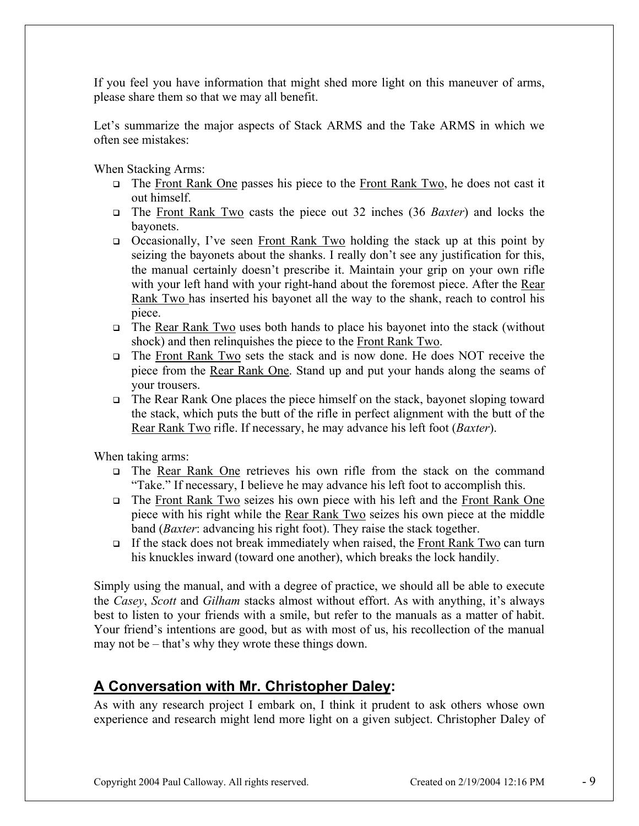If you feel you have information that might shed more light on this maneuver of arms, please share them so that we may all benefit.

Let's summarize the major aspects of Stack ARMS and the Take ARMS in which we often see mistakes:

When Stacking Arms:

- $\Box$  The Front Rank One passes his piece to the Front Rank Two, he does not cast it out himself.
- The Front Rank Two casts the piece out 32 inches (36 *Baxter*) and locks the bayonets.
- Occasionally, I've seen Front Rank Two holding the stack up at this point by seizing the bayonets about the shanks. I really don't see any justification for this, the manual certainly doesn't prescribe it. Maintain your grip on your own rifle with your left hand with your right-hand about the foremost piece. After the Rear Rank Two has inserted his bayonet all the way to the shank, reach to control his piece.
- The Rear Rank Two uses both hands to place his bayonet into the stack (without shock) and then relinquishes the piece to the Front Rank Two.
- The Front Rank Two sets the stack and is now done. He does NOT receive the piece from the Rear Rank One. Stand up and put your hands along the seams of your trousers.
- $\Box$  The Rear Rank One places the piece himself on the stack, bayonet sloping toward the stack, which puts the butt of the rifle in perfect alignment with the butt of the Rear Rank Two rifle. If necessary, he may advance his left foot (*Baxter*).

When taking arms:

- The Rear Rank One retrieves his own rifle from the stack on the command "Take." If necessary, I believe he may advance his left foot to accomplish this.
- The Front Rank Two seizes his own piece with his left and the Front Rank One piece with his right while the Rear Rank Two seizes his own piece at the middle band (*Baxter*: advancing his right foot). They raise the stack together.
- If the stack does not break immediately when raised, the Front Rank Two can turn his knuckles inward (toward one another), which breaks the lock handily.

Simply using the manual, and with a degree of practice, we should all be able to execute the *Casey*, *Scott* and *Gilham* stacks almost without effort. As with anything, it's always best to listen to your friends with a smile, but refer to the manuals as a matter of habit. Your friend's intentions are good, but as with most of us, his recollection of the manual may not be – that's why they wrote these things down.

# **A Conversation with Mr. Christopher Daley:**

As with any research project I embark on, I think it prudent to ask others whose own experience and research might lend more light on a given subject. Christopher Daley of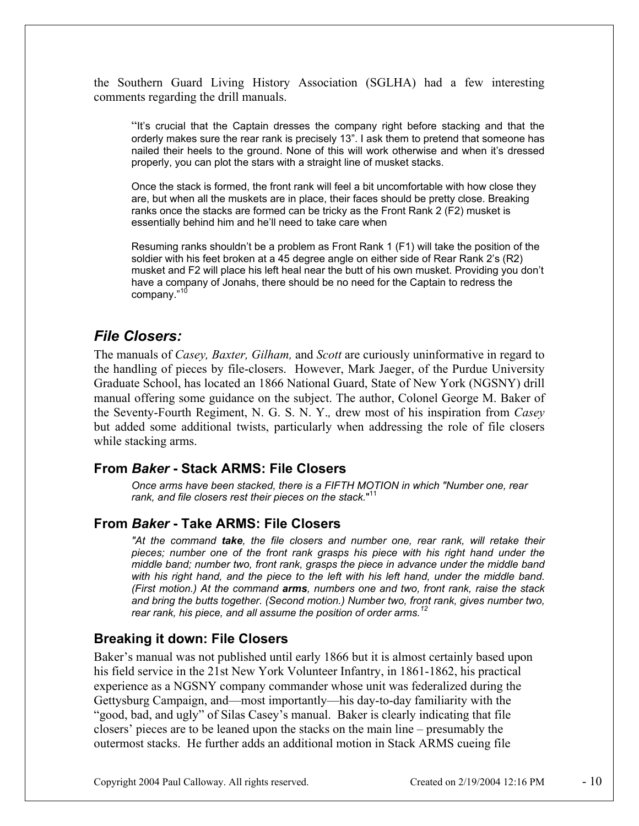the Southern Guard Living History Association (SGLHA) had a few interesting comments regarding the drill manuals.

"It's crucial that the Captain dresses the company right before stacking and that the orderly makes sure the rear rank is precisely 13". I ask them to pretend that someone has nailed their heels to the ground. None of this will work otherwise and when it's dressed properly, you can plot the stars with a straight line of musket stacks.

Once the stack is formed, the front rank will feel a bit uncomfortable with how close they are, but when all the muskets are in place, their faces should be pretty close. Breaking ranks once the stacks are formed can be tricky as the Front Rank 2 (F2) musket is essentially behind him and he'll need to take care when

Resuming ranks shouldn't be a problem as Front Rank 1 (F1) will take the position of the soldier with his feet broken at a 45 degree angle on either side of Rear Rank 2's (R2) musket and F2 will place his left heal near the butt of his own musket. Providing you don't have a company of Jonahs, there should be no need for the Captain to redress the company."10

## *File Closers:*

The manuals of *Casey, Baxter, Gilham,* and *Scott* are curiously uninformative in regard to the handling of pieces by file-closers. However, Mark Jaeger, of the Purdue University Graduate School, has located an 1866 National Guard, State of New York (NGSNY) drill manual offering some guidance on the subject. The author, Colonel George M. Baker of the Seventy-Fourth Regiment, N. G. S. N. Y.*,* drew most of his inspiration from *Casey* but added some additional twists, particularly when addressing the role of file closers while stacking arms.

### **From** *Baker* **- Stack ARMS: File Closers**

*Once arms have been stacked, there is a FIFTH MOTION in which "Number one, rear rank, and file closers rest their pieces on the stack.*" 11

### **From** *Baker* **- Take ARMS: File Closers**

*"At the command take, the file closers and number one, rear rank, will retake their pieces; number one of the front rank grasps his piece with his right hand under the middle band; number two, front rank, grasps the piece in advance under the middle band*  with his right hand, and the piece to the left with his left hand, under the middle band. *(First motion.) At the command arms, numbers one and two, front rank, raise the stack and bring the butts together. (Second motion.) Number two, front rank, gives number two, rear rank, his piece, and all assume the position of order arms.<sup>12</sup>*

### **Breaking it down: File Closers**

Baker's manual was not published until early 1866 but it is almost certainly based upon his field service in the 21st New York Volunteer Infantry, in 1861-1862, his practical experience as a NGSNY company commander whose unit was federalized during the Gettysburg Campaign, and—most importantly—his day-to-day familiarity with the "good, bad, and ugly" of Silas Casey's manual. Baker is clearly indicating that file closers' pieces are to be leaned upon the stacks on the main line – presumably the outermost stacks. He further adds an additional motion in Stack ARMS cueing file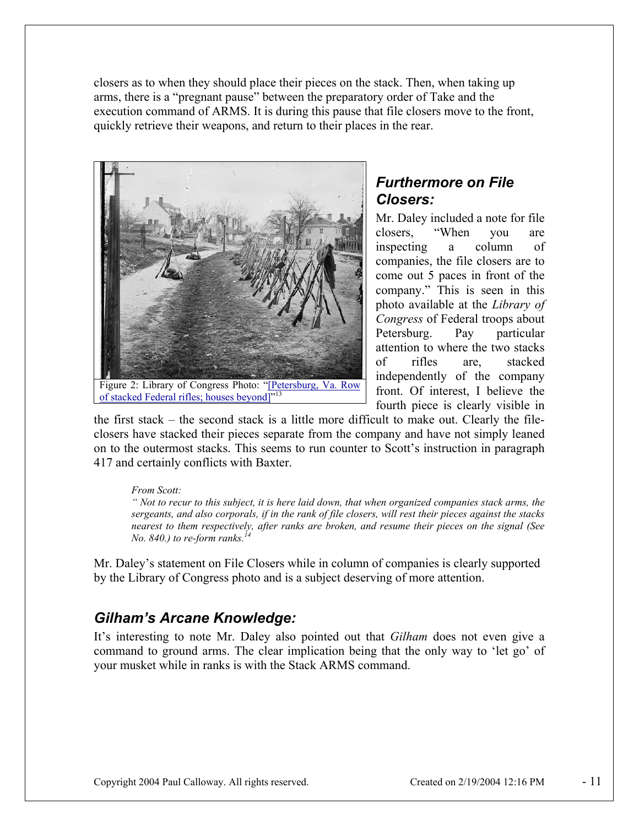closers as to when they should place their pieces on the stack. Then, when taking up arms, there is a "pregnant pause" between the preparatory order of Take and the execution command of ARMS. It is during this pause that file closers move to the front, quickly retrieve their weapons, and return to their places in the rear.



# of stacked Federal rifles; houses beyond<sup>1</sup>"<sup>13</sup>

## *Furthermore on File Closers:*

Mr. Daley included a note for file closers, "When you are inspecting a column of companies, the file closers are to come out 5 paces in front of the company." This is seen in this photo available at the *Library of Congress* of Federal troops about Petersburg. Pay particular attention to where the two stacks of rifles are, stacked independently of the company front. Of interest, I believe the fourth piece is clearly visible in

the first stack – the second stack is a little more difficult to make out. Clearly the fileclosers have stacked their pieces separate from the company and have not simply leaned on to the outermost stacks. This seems to run counter to Scott's instruction in paragraph 417 and certainly conflicts with Baxter.

#### *From Scott:*

*" Not to recur to this subject, it is here laid down, that when organized companies stack arms, the sergeants, and also corporals, if in the rank of file closers, will rest their pieces against the stacks nearest to them respectively, after ranks are broken, and resume their pieces on the signal (See No. 840.) to re-form ranks.*<sup>1</sup>

Mr. Daley's statement on File Closers while in column of companies is clearly supported by the Library of Congress photo and is a subject deserving of more attention.

## *Gilham's Arcane Knowledge:*

It's interesting to note Mr. Daley also pointed out that *Gilham* does not even give a command to ground arms. The clear implication being that the only way to 'let go' of your musket while in ranks is with the Stack ARMS command.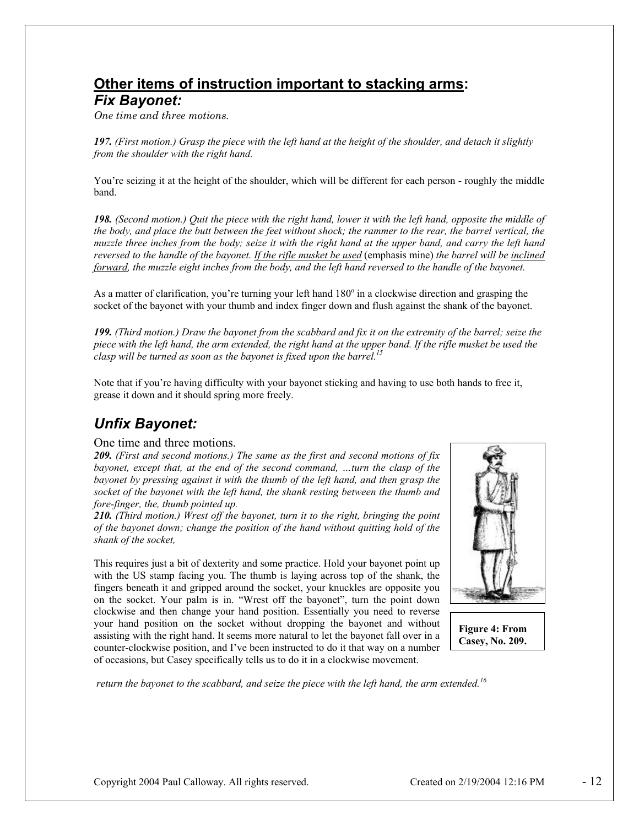# **Other items of instruction important to stacking arms:**

#### *Fix Bayonet:*

*One time and three motions.*

*197. (First motion.) Grasp the piece with the left hand at the height of the shoulder, and detach it slightly from the shoulder with the right hand.* 

You're seizing it at the height of the shoulder, which will be different for each person - roughly the middle band.

*198. (Second motion.) Quit the piece with the right hand, lower it with the left hand, opposite the middle of the body, and place the butt between the feet without shock; the rammer to the rear, the barrel vertical, the muzzle three inches from the body; seize it with the right hand at the upper band, and carry the left hand reversed to the handle of the bayonet. If the rifle musket be used* (emphasis mine) *the barrel will be inclined forward, the muzzle eight inches from the body, and the left hand reversed to the handle of the bayonet.* 

As a matter of clarification, you're turning your left hand  $180^\circ$  in a clockwise direction and grasping the socket of the bayonet with your thumb and index finger down and flush against the shank of the bayonet.

*199. (Third motion.) Draw the bayonet from the scabbard and fix it on the extremity of the barrel; seize the piece with the left hand, the arm extended, the right hand at the upper band. If the rifle musket be used the clasp will be turned as soon as the bayonet is fixed upon the barrel.15*

Note that if you're having difficulty with your bayonet sticking and having to use both hands to free it, grease it down and it should spring more freely.

# *Unfix Bayonet:*

#### One time and three motions.

*209. (First and second motions.) The same as the first and second motions of fix bayonet, except that, at the end of the second command, …turn the clasp of the bayonet by pressing against it with the thumb of the left hand, and then grasp the socket of the bayonet with the left hand, the shank resting between the thumb and fore-finger, the, thumb pointed up.* 

*210. (Third motion.) Wrest off the bayonet, turn it to the right, bringing the point of the bayonet down; change the position of the hand without quitting hold of the shank of the socket,* 

This requires just a bit of dexterity and some practice. Hold your bayonet point up with the US stamp facing you. The thumb is laying across top of the shank, the fingers beneath it and gripped around the socket, your knuckles are opposite you on the socket. Your palm is in. "Wrest off the bayonet", turn the point down clockwise and then change your hand position. Essentially you need to reverse your hand position on the socket without dropping the bayonet and without assisting with the right hand. It seems more natural to let the bayonet fall over in a counter-clockwise position, and I've been instructed to do it that way on a number of occasions, but Casey specifically tells us to do it in a clockwise movement.



**Figure 4: From Casey, No. 209.**

 *return the bayonet to the scabbard, and seize the piece with the left hand, the arm extended.16*